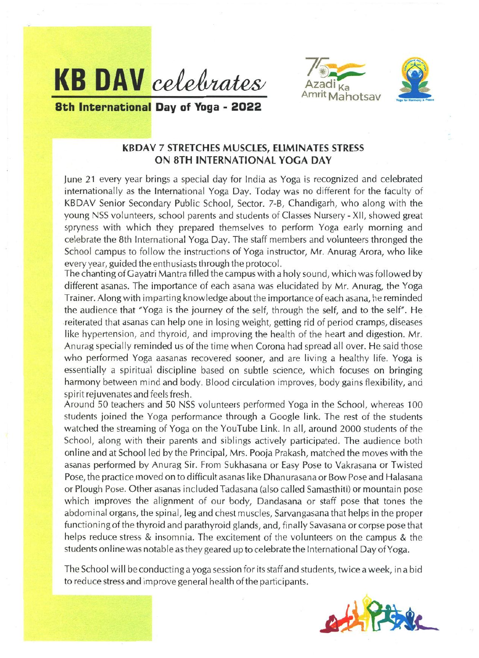





**8th International Day of Yoga - 2022** 

## **KBDAV 7 STRETCHES MUSCLES, ELIMINATES STRESS ON 8TH INTERNATIONAL YOGA DAY**

June 21 every year brings a special day for India as Yoga is recognized and celebrated internationally as the International Yoga Day. Today was no different for the faculty of KBDAV Senior Secondary Public School, Sector. 7-B, Chandigarh, who along with the young NSS volunteers, school parents and students of Classes Nursery - XII, showed great spryness with which they prepared themselves to perform Yoga early morning and celebrate the 8th International Yoga Day. The staff members and volunteers thronged the School campus to follow the instructions of Yoga instructor, Mr. Anurag Arora, who like every year, guided the enthusiasts through the protocol.

The chanting of Gayatri Mantra filled the campus with a holy sound, which was followed by different asanas. The importance of each asana was elucidated by Mr. Anurag, the Yoga Trainer. Along with imparting knowledge about the importance of each asana, he reminded the audience that "Yoga is the journey of the self, through the self, and to the self". He .reiterated that asanas can help one in losing weight, getting rid of period cramps, diseases like hypertension, and thyroid, and improving the health of the heart and digestion. Mr. Anurag specially reminded us of the time when Corona had spread all over. He said those who performed Yoga aasanas recovered sooner, and are living a healthy life. Yoga is essentially a spiritual discipline based on subtle science, which focuses on bringing harmony between mind and body. Blood circulation improves, body gains flexibility, and spirit rejuvenates and feels fresh.

Around 50 teachers and 50 NSS volunteers performed Yoga in the School, whereas 100 students joined the Yoga performance through a Google link. The rest of the students watched the streaming of Yoga on the YouTube Link. In all, around 2000 students of the School, along with their parents and siblings actively participated. The audience both on line and at School led by the Principal, Mrs. Pooja Prakash, matched the moves with the asanas performed by Anurag Sir. From Sukhasana or Easy Pose to Vakrasana or Twisted Pose, the practice moved on to difficult asanas like Dhanurasana or Bow Pose and Halasana or Plough Pose. Other asanas included Tadasana (also called Samasthiti) or mountain pose which improves the alignment of our body, Dandasana or staff pose that tones the abdominal organs, the spinal, leg and chest muscles, Sarvangasana that helps in the proper functioning of the thyroid and parathyroid glands, and, finally Savasana or corpse pose that helps reduce stress & insomnia. The excitement of the volunteers on the campus & the students on line was notable as they geared up to celebrate the International Day of Yoga.

The School will be conducting a yoga session for its staff and students, twice a week, in a bid to reduce stress and improve general health of the participants.